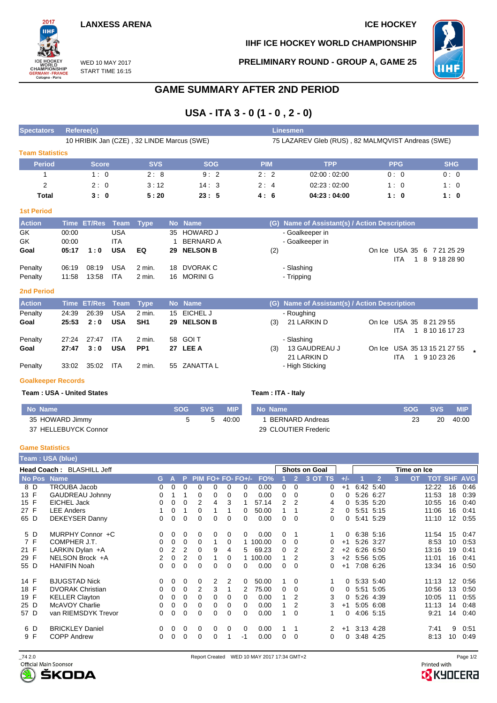## **LANXESS ARENA ICE HOCKEY**

**IIHF ICE HOCKEY WORLD CHAMPIONSHIP**

WED 10 MAY 2017 START TIME 16:15

**PRELIMINARY ROUND - GROUP A, GAME 25**



# **GAME SUMMARY AFTER 2ND PERIOD**

# **USA - ITA 3 - 0 (1 - 0 , 2 - 0)**

| <b>Spectators</b>      | Referee(s)                                 |            |            | Linesmen   |                                                   |            |            |  |  |  |  |  |  |
|------------------------|--------------------------------------------|------------|------------|------------|---------------------------------------------------|------------|------------|--|--|--|--|--|--|
|                        | 10 HRIBIK Jan (CZE), 32 LINDE Marcus (SWE) |            |            |            | 75 LAZAREV Gleb (RUS), 82 MALMQVIST Andreas (SWE) |            |            |  |  |  |  |  |  |
| <b>Team Statistics</b> |                                            |            |            |            |                                                   |            |            |  |  |  |  |  |  |
| <b>Period</b>          | <b>Score</b>                               | <b>SVS</b> | <b>SOG</b> | <b>PIM</b> | <b>TPP</b>                                        | <b>PPG</b> | <b>SHG</b> |  |  |  |  |  |  |
|                        | 1:0                                        | 2:8        | 9:2        | 2:2        | 02:00:02:00                                       | 0:0        | 0:0        |  |  |  |  |  |  |
| 2                      | 2:0                                        | 3:12       | 14:3       | 2:4        | 02:23:02:00                                       | 1:0        | 1:0        |  |  |  |  |  |  |
| Total                  | 3:0                                        | 5:20       | 23:5       | 4:6        | 04:23:04:00                                       | 1:0        | 1:0        |  |  |  |  |  |  |

### **1st Period**

2017 iщ

WORLD<br>CHAMPIONSHIP<br>GERMANY-FRANCE<br>Cologne - Paris

| <b>Action</b> |       | Time ET/Res Team Type |            |        | No Name          | (G) Name of Assistant(s) / Action Description               |  |
|---------------|-------|-----------------------|------------|--------|------------------|-------------------------------------------------------------|--|
| GK            | 00:00 |                       | USA        |        | 35 HOWARD J      | - Goalkeeper in                                             |  |
| GK            | 00:00 |                       | ITA        |        | <b>BERNARD A</b> | - Goalkeeper in                                             |  |
| Goal          | 05:17 | 1:0                   | <b>USA</b> | EQ     | 29 NELSON B      | On Ice USA 35 6 7 21 25 29<br>(2)<br>1 8 9 18 28 90<br>ITA. |  |
| Penalty       | 06:19 | 08:19                 | <b>USA</b> | 2 min. | 18 DVORAK C      | - Slashing                                                  |  |
| Penalty       | 11:58 | 13:58                 | ITA        | 2 min. | 16 MORINI G      | - Tripping                                                  |  |

### **2nd Period**

| <b>Action</b> |       | Time ET/Res Team Type |            |                 | No Name      |     | (G) Name of Assistant(s) / Action Description |                              |
|---------------|-------|-----------------------|------------|-----------------|--------------|-----|-----------------------------------------------|------------------------------|
| Penalty       | 24:39 | 26:39                 | <b>USA</b> | $2$ min.        | 15 EICHEL J  |     | - Roughing                                    |                              |
| Goal          | 25:53 | 2:0                   | <b>USA</b> | SH <sub>1</sub> | 29 NELSON B  | (3) | 21 LARKIN D                                   | On Ice USA 35 8 21 29 55     |
|               |       |                       |            |                 |              |     |                                               | 1 8 10 16 17 23<br>ITA.      |
| Penalty       | 27.24 | 27:47                 | ITA        | 2 min.          | 58 GOIT      |     | - Slashing                                    |                              |
| Goal          | 27:47 | 3:0                   | <b>USA</b> | PP <sub>1</sub> | 27 LEE A     | (3) | 13 GAUDREAU J                                 | On Ice USA 35 13 15 21 27 55 |
|               |       |                       |            |                 |              |     | 21 LARKIN D                                   | 1 9 10 23 26<br><b>ITA</b>   |
| Penalty       | 33:02 | 35:02                 | ITA        | $2$ min.        | 55 ZANATTA L |     | - High Sticking                               |                              |

#### **Goalkeeper Records**

**Team : USA - United States Team : ITA - Italy**

| No Name              | SOG SVS | <b>MIP</b> | No Name              | <b>SOG</b> | <b>SVS</b> | <b>MIP</b> |
|----------------------|---------|------------|----------------------|------------|------------|------------|
| 35 HOWARD Jimmy      | 5       | 40:00      | BERNARD Andreas      |            | 20         | 40:00      |
| 37 HELLEBUYCK Connor |         |            | 29 CLOUTIER Frederic |            |            |            |

### **Game Statistics**

| Team : USA (blue) |                           |                |          |          |          |                |                |                     |          |          |          |                      |          |           |                |   |                                 |                   |      |
|-------------------|---------------------------|----------------|----------|----------|----------|----------------|----------------|---------------------|----------|----------|----------|----------------------|----------|-----------|----------------|---|---------------------------------|-------------------|------|
|                   | Head Coach: BLASHILL Jeff |                |          |          |          |                |                |                     |          |          |          | <b>Shots on Goal</b> |          |           |                |   | Time on Ice                     |                   |      |
|                   | No Pos Name               | G.             | A        | P.       |          |                |                | $PIM FO+ FO- FO+/-$ | FO%      |          |          | 3 OT TS              | $+/-$    |           | $\overline{2}$ | 3 | <b>TOT SHF AVG</b><br><b>OT</b> |                   |      |
| 8 D               | <b>TROUBA Jacob</b>       | 0              | 0        | 0        | 0        | 0              | 0              | 0                   | 0.00     | 0        | $\Omega$ | 0                    | $+1$     |           | 6:42 5:40      |   | 12:22                           | 16                | 0:46 |
| 13 F              | <b>GAUDREAU Johnny</b>    | 0              |          |          | 0        | 0              | 0              | 0                   | 0.00     | 0        | 0        | 0                    | 0        |           | 5:26 6:27      |   | 11:53                           | 18                | 0:39 |
| 15 F              | <b>EICHEL Jack</b>        | 0              | 0        | 0        | 2        | 4              | 3              |                     | 57.14    | 2        | 2        | 4                    | 0        |           | 5:35 5:20      |   | 10:55                           | 16                | 0:40 |
| 27 F              | <b>LEE Anders</b>         |                | 0        |          | 0        |                |                | 0                   | 50.00    |          |          | 2                    | $\Omega$ |           | 5:51 5:15      |   | 11:06                           | 16                | 0:41 |
| 65 D              | <b>DEKEYSER Danny</b>     | 0              | 0        | 0        | 0        | 0              | 0              | 0                   | 0.00     | $\Omega$ | $\Omega$ | 0                    | 0        | 5:41 5:29 |                |   | 11:10                           | $12 \overline{ }$ | 0:55 |
| 5 D               | MURPHY Connor +C          | 0              | 0        | 0        | $\Omega$ | 0              | 0              | 0                   | 0.00     | $\Omega$ | 1        |                      | 0        |           | 6:38 5:16      |   | 11:54                           | 15                | 0.47 |
| 7 F               | COMPHER J.T.              | 0              | $\Omega$ | $\Omega$ | $\Omega$ |                | 0              |                     | 1 100.00 | 0        | $\Omega$ | 0                    | $+1$     |           | 5:26 3:27      |   | 8:53                            | 10                | 0:53 |
| 21 F              | LARKIN Dylan +A           | 0              | 2        | 2        | 0        | 9              | 4              | 5.                  | 69.23    | 0        | 2        | 2                    | $+2$     |           | 6:26 6:50      |   | 13:16                           | 19                | 0:41 |
| 29 F              | NELSON Brock +A           | $\overline{2}$ | 0        | 2        | $\Omega$ |                | 0              |                     | 1 100.00 |          |          | 3                    | $+2$     |           | 5:56 5:05      |   | 11:01                           | 16                | 0:41 |
| 55 D              | <b>HANIFIN Noah</b>       | 0              | 0        | 0        | 0        | 0              | 0              | 0                   | 0.00     | $\Omega$ | $\Omega$ | 0                    | $+1$     |           | 7:08 6:26      |   | 13:34                           | 16                | 0:50 |
| 14 F              | <b>BJUGSTAD Nick</b>      | 0              | 0        | 0        | $\Omega$ | $\overline{2}$ | $\overline{2}$ | 0                   | 50.00    |          | $\Omega$ |                      | 0        | 5:33 5:40 |                |   | 11:13                           | $12 \overline{ }$ | 0:56 |
| 18 F              | <b>DVORAK Christian</b>   | 0              | 0        | 0        | 2        | 3              |                | 2                   | 75.00    | 0        | 0        | 0                    | 0        |           | 5:51 5:05      |   | 10:56                           | 13                | 0:50 |
| 19 F              | <b>KELLER Clayton</b>     | 0              | 0        | 0        | $\Omega$ | 0              | 0              | 0                   | 0.00     |          | 2        | 3                    | 0        |           | 5:26 4:39      |   | 10:05                           | 11                | 0:55 |
| 25 D              | McAVOY Charlie            | 0              | 0        | 0        | 0        | 0              | 0              | 0                   | 0.00     |          |          | 3                    | $+1$     |           | 5:05 6:08      |   | 11:13                           | 14                | 0:48 |
| 57 D              | van RIEMSDYK Trevor       | 0              | 0        | 0        | $\Omega$ | 0              | 0              | 0                   | 0.00     |          | $\Omega$ |                      | 0        |           | 4:06 5:15      |   | 9:21                            | 14                | 0:40 |
| 6 D               | <b>BRICKLEY Daniel</b>    | $\Omega$       | 0        | $\Omega$ | $\Omega$ | 0              | 0              | $\Omega$            | 0.00     |          | 1        | 2                    | $+1$     |           | 3:13 4:28      |   | 7:41                            | 9                 | 0:51 |
| 9 F               | <b>COPP Andrew</b>        | 0              | $\Omega$ | 0        | 0        | 0              |                | $-1$                | 0.00     | 0        | $\Omega$ | 0                    | 0        |           | 3:48 4:25      |   | 8:13                            | 10                | 0:49 |